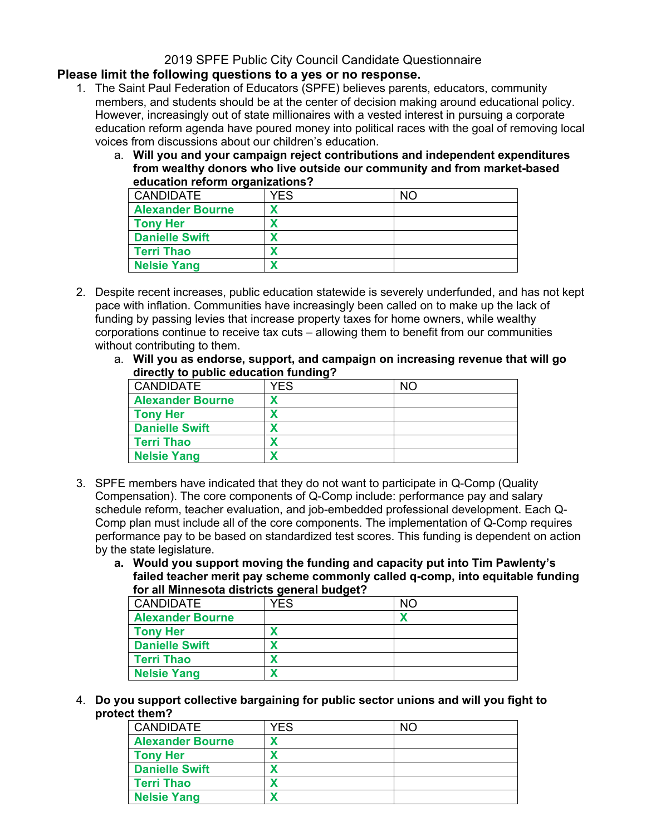# 2019 SPFE Public City Council Candidate Questionnaire

### **Please limit the following questions to a yes or no response.**

- 1. The Saint Paul Federation of Educators (SPFE) believes parents, educators, community members, and students should be at the center of decision making around educational policy. However, increasingly out of state millionaires with a vested interest in pursuing a corporate education reform agenda have poured money into political races with the goal of removing local voices from discussions about our children's education.
	- a. **Will you and your campaign reject contributions and independent expenditures from wealthy donors who live outside our community and from market-based education reform organizations?**

| <b>CANDIDATE</b>        | YFS. | NO. |
|-------------------------|------|-----|
| <b>Alexander Bourne</b> |      |     |
| <b>Tony Her</b>         |      |     |
| <b>Danielle Swift</b>   |      |     |
| <b>Terri Thao</b>       |      |     |
| <b>Nelsie Yang</b>      |      |     |

- 2. Despite recent increases, public education statewide is severely underfunded, and has not kept pace with inflation. Communities have increasingly been called on to make up the lack of funding by passing levies that increase property taxes for home owners, while wealthy corporations continue to receive tax cuts – allowing them to benefit from our communities without contributing to them.
	- a. **Will you as endorse, support, and campaign on increasing revenue that will go directly to public education funding?**

| <b>CANDIDATE</b>        | YES | NO. |
|-------------------------|-----|-----|
| <b>Alexander Bourne</b> |     |     |
| <b>Tony Her</b>         |     |     |
| <b>Danielle Swift</b>   |     |     |
| <b>Terri Thao</b>       |     |     |
| <b>Nelsie Yang</b>      |     |     |

- 3. SPFE members have indicated that they do not want to participate in Q-Comp (Quality Compensation). The core components of Q-Comp include: performance pay and salary schedule reform, teacher evaluation, and job-embedded professional development. Each Q-Comp plan must include all of the core components. The implementation of Q-Comp requires performance pay to be based on standardized test scores. This funding is dependent on action by the state legislature.
	- **a. Would you support moving the funding and capacity put into Tim Pawlenty's failed teacher merit pay scheme commonly called q-comp, into equitable funding for all Minnesota districts general budget?**

| <b>CANDIDATE</b>        | YFS | NO |
|-------------------------|-----|----|
| <b>Alexander Bourne</b> |     |    |
| <b>Tony Her</b>         |     |    |
| <b>Danielle Swift</b>   |     |    |
| <b>Terri Thao</b>       |     |    |
| <b>Nelsie Yang</b>      |     |    |

4. **Do you support collective bargaining for public sector unions and will you fight to protect them?**

| <b>CANDIDATE</b>        | YES | NΟ |
|-------------------------|-----|----|
| <b>Alexander Bourne</b> |     |    |
| <b>Tony Her</b>         |     |    |
| <b>Danielle Swift</b>   |     |    |
| <b>Terri Thao</b>       |     |    |
| <b>Nelsie Yang</b>      |     |    |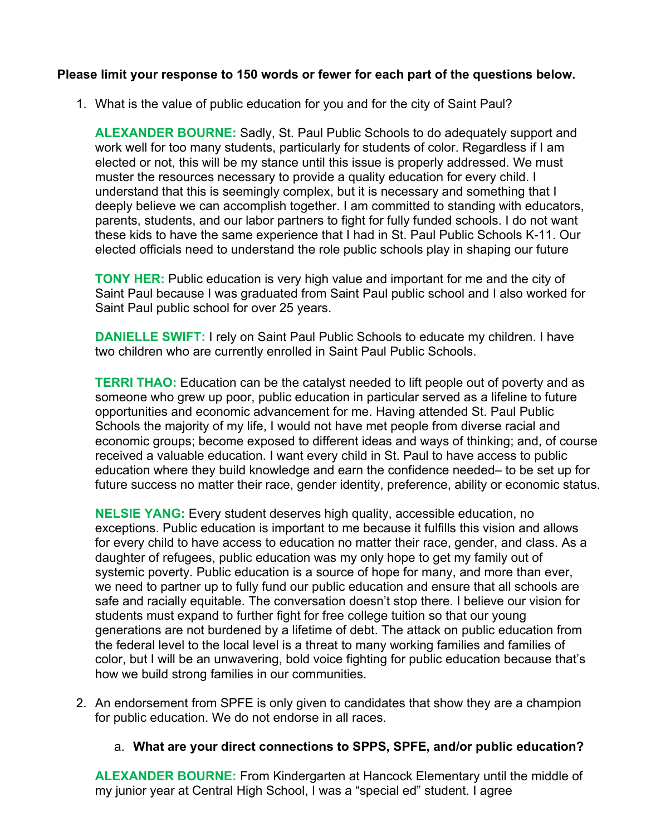### **Please limit your response to 150 words or fewer for each part of the questions below.**

1. What is the value of public education for you and for the city of Saint Paul?

**ALEXANDER BOURNE:** Sadly, St. Paul Public Schools to do adequately support and work well for too many students, particularly for students of color. Regardless if I am elected or not, this will be my stance until this issue is properly addressed. We must muster the resources necessary to provide a quality education for every child. I understand that this is seemingly complex, but it is necessary and something that I deeply believe we can accomplish together. I am committed to standing with educators, parents, students, and our labor partners to fight for fully funded schools. I do not want these kids to have the same experience that I had in St. Paul Public Schools K-11. Our elected officials need to understand the role public schools play in shaping our future

**TONY HER:** Public education is very high value and important for me and the city of Saint Paul because I was graduated from Saint Paul public school and I also worked for Saint Paul public school for over 25 years.

**DANIELLE SWIFT:** I rely on Saint Paul Public Schools to educate my children. I have two children who are currently enrolled in Saint Paul Public Schools.

**TERRI THAO:** Education can be the catalyst needed to lift people out of poverty and as someone who grew up poor, public education in particular served as a lifeline to future opportunities and economic advancement for me. Having attended St. Paul Public Schools the majority of my life, I would not have met people from diverse racial and economic groups; become exposed to different ideas and ways of thinking; and, of course received a valuable education. I want every child in St. Paul to have access to public education where they build knowledge and earn the confidence needed– to be set up for future success no matter their race, gender identity, preference, ability or economic status.

**NELSIE YANG:** Every student deserves high quality, accessible education, no exceptions. Public education is important to me because it fulfills this vision and allows for every child to have access to education no matter their race, gender, and class. As a daughter of refugees, public education was my only hope to get my family out of systemic poverty. Public education is a source of hope for many, and more than ever, we need to partner up to fully fund our public education and ensure that all schools are safe and racially equitable. The conversation doesn't stop there. I believe our vision for students must expand to further fight for free college tuition so that our young generations are not burdened by a lifetime of debt. The attack on public education from the federal level to the local level is a threat to many working families and families of color, but I will be an unwavering, bold voice fighting for public education because that's how we build strong families in our communities.

2. An endorsement from SPFE is only given to candidates that show they are a champion for public education. We do not endorse in all races.

### a. **What are your direct connections to SPPS, SPFE, and/or public education?**

**ALEXANDER BOURNE:** From Kindergarten at Hancock Elementary until the middle of my junior year at Central High School, I was a "special ed" student. I agree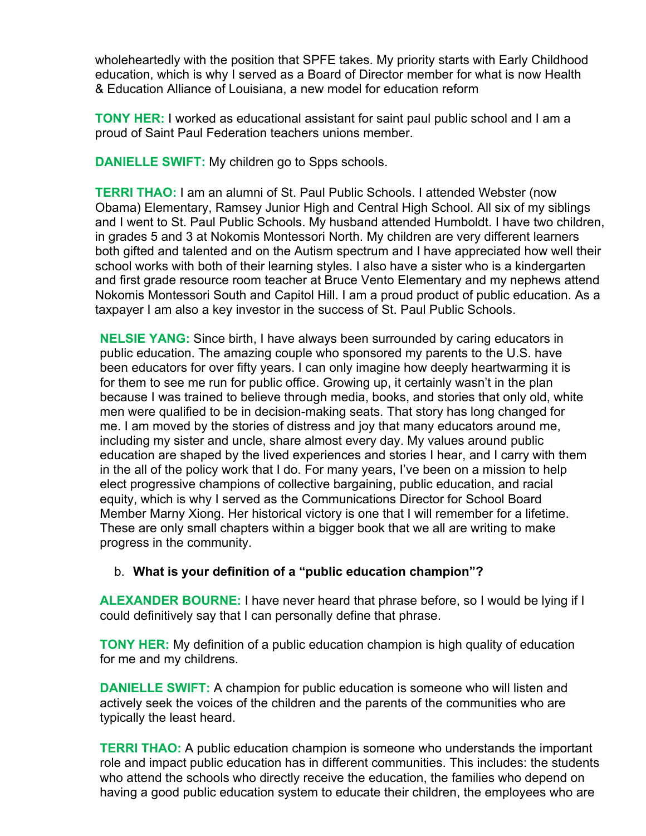wholeheartedly with the position that SPFE takes. My priority starts with Early Childhood education, which is why I served as a Board of Director member for what is now Health & Education Alliance of Louisiana, a new model for education reform

**TONY HER:** I worked as educational assistant for saint paul public school and I am a proud of Saint Paul Federation teachers unions member.

**DANIELLE SWIFT:** My children go to Spps schools.

**TERRI THAO:** I am an alumni of St. Paul Public Schools. I attended Webster (now Obama) Elementary, Ramsey Junior High and Central High School. All six of my siblings and I went to St. Paul Public Schools. My husband attended Humboldt. I have two children, in grades 5 and 3 at Nokomis Montessori North. My children are very different learners both gifted and talented and on the Autism spectrum and I have appreciated how well their school works with both of their learning styles. I also have a sister who is a kindergarten and first grade resource room teacher at Bruce Vento Elementary and my nephews attend Nokomis Montessori South and Capitol Hill. I am a proud product of public education. As a taxpayer I am also a key investor in the success of St. Paul Public Schools.

**NELSIE YANG:** Since birth, I have always been surrounded by caring educators in public education. The amazing couple who sponsored my parents to the U.S. have been educators for over fifty years. I can only imagine how deeply heartwarming it is for them to see me run for public office. Growing up, it certainly wasn't in the plan because I was trained to believe through media, books, and stories that only old, white men were qualified to be in decision-making seats. That story has long changed for me. I am moved by the stories of distress and joy that many educators around me, including my sister and uncle, share almost every day. My values around public education are shaped by the lived experiences and stories I hear, and I carry with them in the all of the policy work that I do. For many years, I've been on a mission to help elect progressive champions of collective bargaining, public education, and racial equity, which is why I served as the Communications Director for School Board Member Marny Xiong. Her historical victory is one that I will remember for a lifetime. These are only small chapters within a bigger book that we all are writing to make progress in the community.

# b. **What is your definition of a "public education champion"?**

**ALEXANDER BOURNE:** I have never heard that phrase before, so I would be lying if I could definitively say that I can personally define that phrase.

**TONY HER:** My definition of a public education champion is high quality of education for me and my childrens.

**DANIELLE SWIFT:** A champion for public education is someone who will listen and actively seek the voices of the children and the parents of the communities who are typically the least heard.

**TERRI THAO:** A public education champion is someone who understands the important role and impact public education has in different communities. This includes: the students who attend the schools who directly receive the education, the families who depend on having a good public education system to educate their children, the employees who are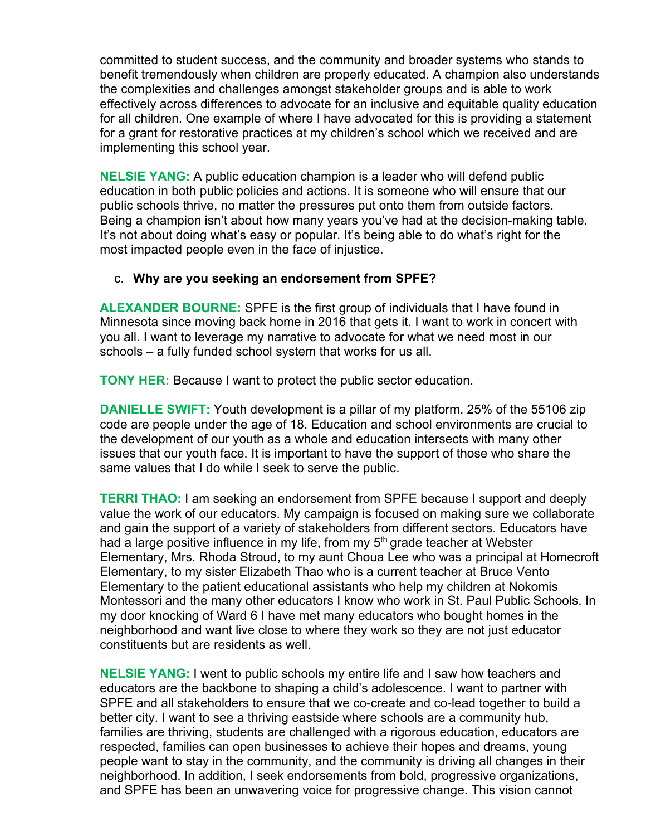committed to student success, and the community and broader systems who stands to benefit tremendously when children are properly educated. A champion also understands the complexities and challenges amongst stakeholder groups and is able to work effectively across differences to advocate for an inclusive and equitable quality education for all children. One example of where I have advocated for this is providing a statement for a grant for restorative practices at my children's school which we received and are implementing this school year.

**NELSIE YANG:** A public education champion is a leader who will defend public education in both public policies and actions. It is someone who will ensure that our public schools thrive, no matter the pressures put onto them from outside factors. Being a champion isn't about how many years you've had at the decision-making table. It's not about doing what's easy or popular. It's being able to do what's right for the most impacted people even in the face of injustice.

# c. **Why are you seeking an endorsement from SPFE?**

**ALEXANDER BOURNE:** SPFE is the first group of individuals that I have found in Minnesota since moving back home in 2016 that gets it. I want to work in concert with you all. I want to leverage my narrative to advocate for what we need most in our schools – a fully funded school system that works for us all.

**TONY HER:** Because I want to protect the public sector education.

**DANIELLE SWIFT:** Youth development is a pillar of my platform. 25% of the 55106 zip code are people under the age of 18. Education and school environments are crucial to the development of our youth as a whole and education intersects with many other issues that our youth face. It is important to have the support of those who share the same values that I do while I seek to serve the public.

**TERRI THAO:** I am seeking an endorsement from SPFE because I support and deeply value the work of our educators. My campaign is focused on making sure we collaborate and gain the support of a variety of stakeholders from different sectors. Educators have had a large positive influence in my life, from my 5<sup>th</sup> grade teacher at Webster Elementary, Mrs. Rhoda Stroud, to my aunt Choua Lee who was a principal at Homecroft Elementary, to my sister Elizabeth Thao who is a current teacher at Bruce Vento Elementary to the patient educational assistants who help my children at Nokomis Montessori and the many other educators I know who work in St. Paul Public Schools. In my door knocking of Ward 6 I have met many educators who bought homes in the neighborhood and want live close to where they work so they are not just educator constituents but are residents as well.

**NELSIE YANG:** I went to public schools my entire life and I saw how teachers and educators are the backbone to shaping a child's adolescence. I want to partner with SPFE and all stakeholders to ensure that we co-create and co-lead together to build a better city. I want to see a thriving eastside where schools are a community hub, families are thriving, students are challenged with a rigorous education, educators are respected, families can open businesses to achieve their hopes and dreams, young people want to stay in the community, and the community is driving all changes in their neighborhood. In addition, I seek endorsements from bold, progressive organizations, and SPFE has been an unwavering voice for progressive change. This vision cannot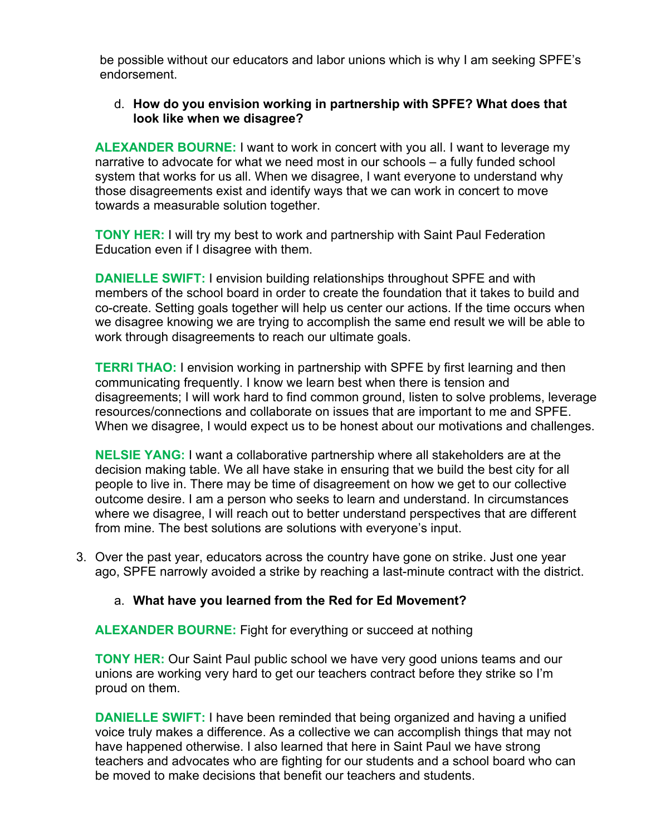be possible without our educators and labor unions which is why I am seeking SPFE's endorsement.

### d. **How do you envision working in partnership with SPFE? What does that look like when we disagree?**

**ALEXANDER BOURNE:** I want to work in concert with you all. I want to leverage my narrative to advocate for what we need most in our schools – a fully funded school system that works for us all. When we disagree, I want everyone to understand why those disagreements exist and identify ways that we can work in concert to move towards a measurable solution together.

**TONY HER:** I will try my best to work and partnership with Saint Paul Federation Education even if I disagree with them.

**DANIELLE SWIFT:** I envision building relationships throughout SPFE and with members of the school board in order to create the foundation that it takes to build and co-create. Setting goals together will help us center our actions. If the time occurs when we disagree knowing we are trying to accomplish the same end result we will be able to work through disagreements to reach our ultimate goals.

**TERRI THAO:** I envision working in partnership with SPFE by first learning and then communicating frequently. I know we learn best when there is tension and disagreements; I will work hard to find common ground, listen to solve problems, leverage resources/connections and collaborate on issues that are important to me and SPFE. When we disagree, I would expect us to be honest about our motivations and challenges.

**NELSIE YANG:** I want a collaborative partnership where all stakeholders are at the decision making table. We all have stake in ensuring that we build the best city for all people to live in. There may be time of disagreement on how we get to our collective outcome desire. I am a person who seeks to learn and understand. In circumstances where we disagree, I will reach out to better understand perspectives that are different from mine. The best solutions are solutions with everyone's input.

3. Over the past year, educators across the country have gone on strike. Just one year ago, SPFE narrowly avoided a strike by reaching a last-minute contract with the district.

### a. **What have you learned from the Red for Ed Movement?**

**ALEXANDER BOURNE:** Fight for everything or succeed at nothing

**TONY HER:** Our Saint Paul public school we have very good unions teams and our unions are working very hard to get our teachers contract before they strike so I'm proud on them.

**DANIELLE SWIFT:** I have been reminded that being organized and having a unified voice truly makes a difference. As a collective we can accomplish things that may not have happened otherwise. I also learned that here in Saint Paul we have strong teachers and advocates who are fighting for our students and a school board who can be moved to make decisions that benefit our teachers and students.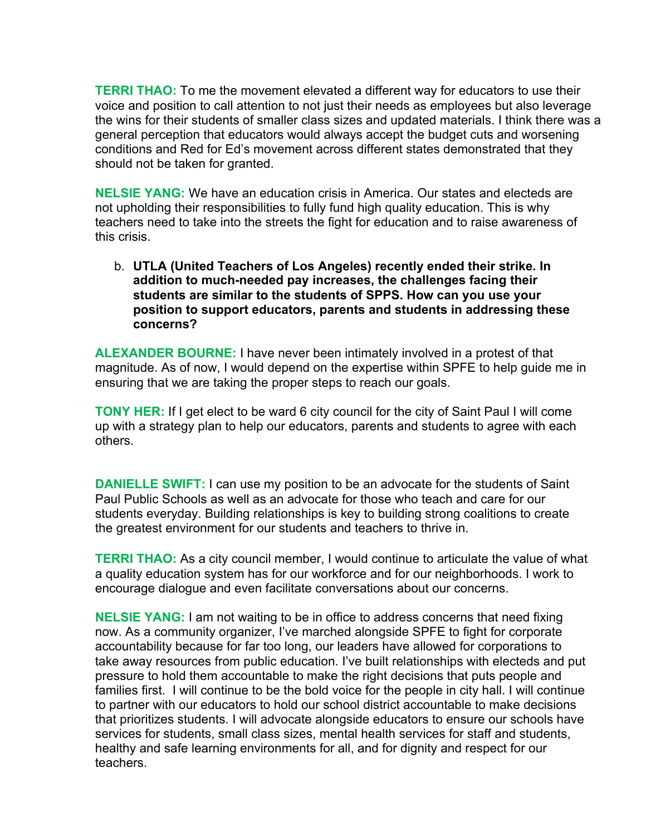**TERRI THAO:** To me the movement elevated a different way for educators to use their voice and position to call attention to not just their needs as employees but also leverage the wins for their students of smaller class sizes and updated materials. I think there was a general perception that educators would always accept the budget cuts and worsening conditions and Red for Ed's movement across different states demonstrated that they should not be taken for granted.

**NELSIE YANG:** We have an education crisis in America. Our states and electeds are not upholding their responsibilities to fully fund high quality education. This is why teachers need to take into the streets the fight for education and to raise awareness of this crisis.

b. **UTLA (United Teachers of Los Angeles) recently ended their strike. In addition to much-needed pay increases, the challenges facing their students are similar to the students of SPPS. How can you use your position to support educators, parents and students in addressing these concerns?**

**ALEXANDER BOURNE:** I have never been intimately involved in a protest of that magnitude. As of now, I would depend on the expertise within SPFE to help guide me in ensuring that we are taking the proper steps to reach our goals.

**TONY HER:** If I get elect to be ward 6 city council for the city of Saint Paul I will come up with a strategy plan to help our educators, parents and students to agree with each others.

**DANIELLE SWIFT:** I can use my position to be an advocate for the students of Saint Paul Public Schools as well as an advocate for those who teach and care for our students everyday. Building relationships is key to building strong coalitions to create the greatest environment for our students and teachers to thrive in.

**TERRI THAO:** As a city council member, I would continue to articulate the value of what a quality education system has for our workforce and for our neighborhoods. I work to encourage dialogue and even facilitate conversations about our concerns.

**NELSIE YANG:** I am not waiting to be in office to address concerns that need fixing now. As a community organizer, I've marched alongside SPFE to fight for corporate accountability because for far too long, our leaders have allowed for corporations to take away resources from public education. I've built relationships with electeds and put pressure to hold them accountable to make the right decisions that puts people and families first. I will continue to be the bold voice for the people in city hall. I will continue to partner with our educators to hold our school district accountable to make decisions that prioritizes students. I will advocate alongside educators to ensure our schools have services for students, small class sizes, mental health services for staff and students, healthy and safe learning environments for all, and for dignity and respect for our teachers.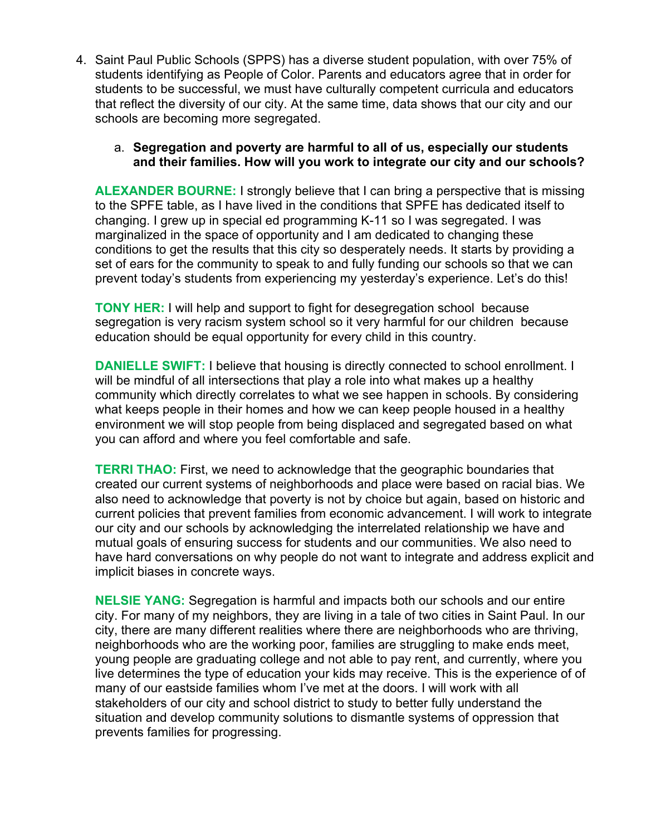4. Saint Paul Public Schools (SPPS) has a diverse student population, with over 75% of students identifying as People of Color. Parents and educators agree that in order for students to be successful, we must have culturally competent curricula and educators that reflect the diversity of our city. At the same time, data shows that our city and our schools are becoming more segregated.

### a. **Segregation and poverty are harmful to all of us, especially our students and their families. How will you work to integrate our city and our schools?**

**ALEXANDER BOURNE:** I strongly believe that I can bring a perspective that is missing to the SPFE table, as I have lived in the conditions that SPFE has dedicated itself to changing. I grew up in special ed programming K-11 so I was segregated. I was marginalized in the space of opportunity and I am dedicated to changing these conditions to get the results that this city so desperately needs. It starts by providing a set of ears for the community to speak to and fully funding our schools so that we can prevent today's students from experiencing my yesterday's experience. Let's do this!

**TONY HER:** I will help and support to fight for desegregation school because segregation is very racism system school so it very harmful for our children because education should be equal opportunity for every child in this country.

**DANIELLE SWIFT:** I believe that housing is directly connected to school enrollment. I will be mindful of all intersections that play a role into what makes up a healthy community which directly correlates to what we see happen in schools. By considering what keeps people in their homes and how we can keep people housed in a healthy environment we will stop people from being displaced and segregated based on what you can afford and where you feel comfortable and safe.

**TERRI THAO:** First, we need to acknowledge that the geographic boundaries that created our current systems of neighborhoods and place were based on racial bias. We also need to acknowledge that poverty is not by choice but again, based on historic and current policies that prevent families from economic advancement. I will work to integrate our city and our schools by acknowledging the interrelated relationship we have and mutual goals of ensuring success for students and our communities. We also need to have hard conversations on why people do not want to integrate and address explicit and implicit biases in concrete ways.

**NELSIE YANG:** Segregation is harmful and impacts both our schools and our entire city. For many of my neighbors, they are living in a tale of two cities in Saint Paul. In our city, there are many different realities where there are neighborhoods who are thriving, neighborhoods who are the working poor, families are struggling to make ends meet, young people are graduating college and not able to pay rent, and currently, where you live determines the type of education your kids may receive. This is the experience of of many of our eastside families whom I've met at the doors. I will work with all stakeholders of our city and school district to study to better fully understand the situation and develop community solutions to dismantle systems of oppression that prevents families for progressing.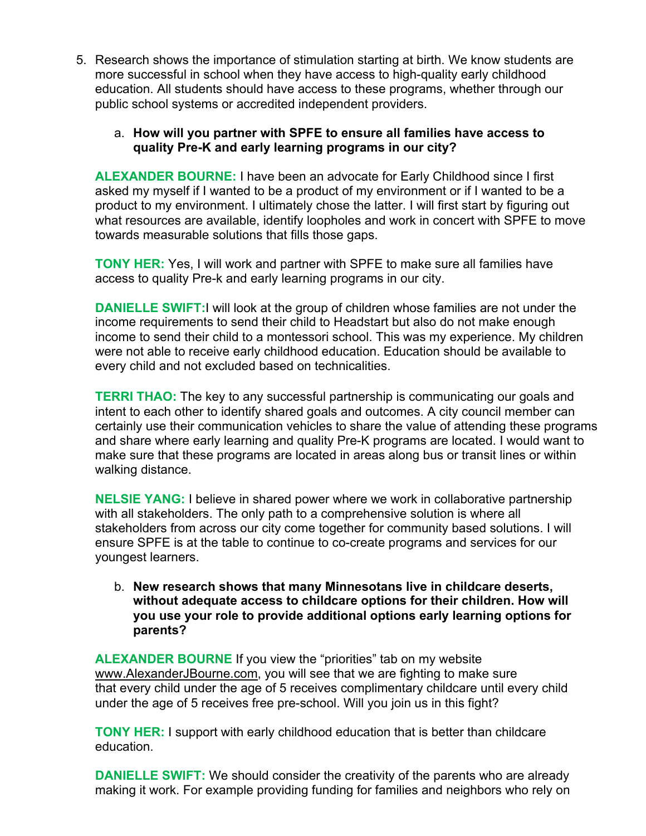5. Research shows the importance of stimulation starting at birth. We know students are more successful in school when they have access to high-quality early childhood education. All students should have access to these programs, whether through our public school systems or accredited independent providers.

# a. **How will you partner with SPFE to ensure all families have access to quality Pre-K and early learning programs in our city?**

**ALEXANDER BOURNE:** I have been an advocate for Early Childhood since I first asked my myself if I wanted to be a product of my environment or if I wanted to be a product to my environment. I ultimately chose the latter. I will first start by figuring out what resources are available, identify loopholes and work in concert with SPFE to move towards measurable solutions that fills those gaps.

**TONY HER:** Yes, I will work and partner with SPFE to make sure all families have access to quality Pre-k and early learning programs in our city.

**DANIELLE SWIFT:** I will look at the group of children whose families are not under the income requirements to send their child to Headstart but also do not make enough income to send their child to a montessori school. This was my experience. My children were not able to receive early childhood education. Education should be available to every child and not excluded based on technicalities.

**TERRI THAO:** The key to any successful partnership is communicating our goals and intent to each other to identify shared goals and outcomes. A city council member can certainly use their communication vehicles to share the value of attending these programs and share where early learning and quality Pre-K programs are located. I would want to make sure that these programs are located in areas along bus or transit lines or within walking distance.

**NELSIE YANG:** I believe in shared power where we work in collaborative partnership with all stakeholders. The only path to a comprehensive solution is where all stakeholders from across our city come together for community based solutions. I will ensure SPFE is at the table to continue to co-create programs and services for our youngest learners.

b. **New research shows that many Minnesotans live in childcare deserts, without adequate access to childcare options for their children. How will you use your role to provide additional options early learning options for parents?**

**ALEXANDER BOURNE** If you view the "priorities" tab on my website www.AlexanderJBourne.com, you will see that we are fighting to make sure that every child under the age of 5 receives complimentary childcare until every child under the age of 5 receives free pre-school. Will you join us in this fight?

**TONY HER:** I support with early childhood education that is better than childcare education.

**DANIELLE SWIFT:** We should consider the creativity of the parents who are already making it work. For example providing funding for families and neighbors who rely on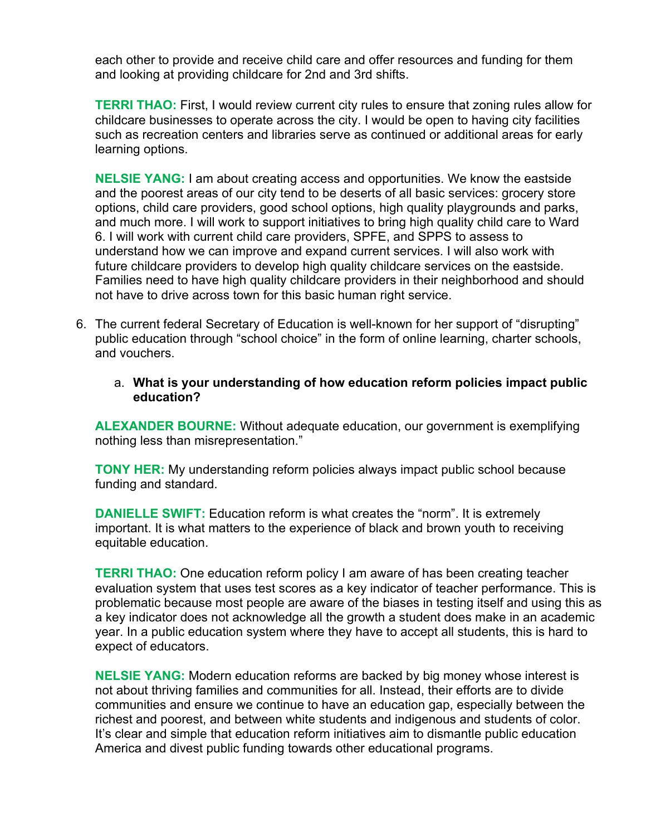each other to provide and receive child care and offer resources and funding for them and looking at providing childcare for 2nd and 3rd shifts.

**TERRI THAO:** First, I would review current city rules to ensure that zoning rules allow for childcare businesses to operate across the city. I would be open to having city facilities such as recreation centers and libraries serve as continued or additional areas for early learning options.

**NELSIE YANG:** I am about creating access and opportunities. We know the eastside and the poorest areas of our city tend to be deserts of all basic services: grocery store options, child care providers, good school options, high quality playgrounds and parks, and much more. I will work to support initiatives to bring high quality child care to Ward 6. I will work with current child care providers, SPFE, and SPPS to assess to understand how we can improve and expand current services. I will also work with future childcare providers to develop high quality childcare services on the eastside. Families need to have high quality childcare providers in their neighborhood and should not have to drive across town for this basic human right service.

- 6. The current federal Secretary of Education is well-known for her support of "disrupting" public education through "school choice" in the form of online learning, charter schools, and vouchers.
	- a. **What is your understanding of how education reform policies impact public education?**

**ALEXANDER BOURNE:** Without adequate education, our government is exemplifying nothing less than misrepresentation."

**TONY HER:** My understanding reform policies always impact public school because funding and standard.

**DANIELLE SWIFT:** Education reform is what creates the "norm". It is extremely important. It is what matters to the experience of black and brown youth to receiving equitable education.

**TERRI THAO:** One education reform policy I am aware of has been creating teacher evaluation system that uses test scores as a key indicator of teacher performance. This is problematic because most people are aware of the biases in testing itself and using this as a key indicator does not acknowledge all the growth a student does make in an academic year. In a public education system where they have to accept all students, this is hard to expect of educators.

**NELSIE YANG:** Modern education reforms are backed by big money whose interest is not about thriving families and communities for all. Instead, their efforts are to divide communities and ensure we continue to have an education gap, especially between the richest and poorest, and between white students and indigenous and students of color. It's clear and simple that education reform initiatives aim to dismantle public education America and divest public funding towards other educational programs.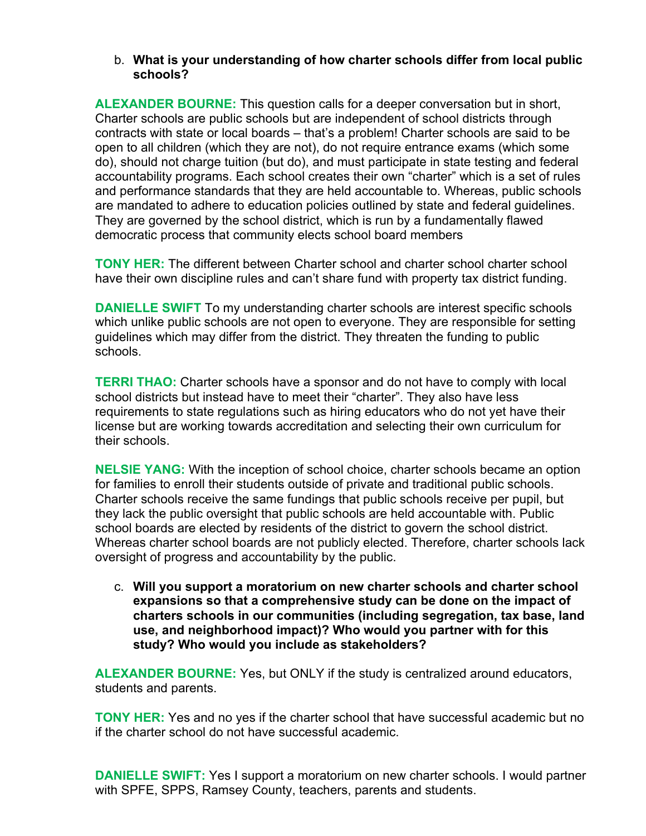### b. **What is your understanding of how charter schools differ from local public schools?**

**ALEXANDER BOURNE:** This question calls for a deeper conversation but in short, Charter schools are public schools but are independent of school districts through contracts with state or local boards – that's a problem! Charter schools are said to be open to all children (which they are not), do not require entrance exams (which some do), should not charge tuition (but do), and must participate in state testing and federal accountability programs. Each school creates their own "charter" which is a set of rules and performance standards that they are held accountable to. Whereas, public schools are mandated to adhere to education policies outlined by state and federal guidelines. They are governed by the school district, which is run by a fundamentally flawed democratic process that community elects school board members

**TONY HER:** The different between Charter school and charter school charter school have their own discipline rules and can't share fund with property tax district funding.

**DANIELLE SWIFT** To my understanding charter schools are interest specific schools which unlike public schools are not open to everyone. They are responsible for setting guidelines which may differ from the district. They threaten the funding to public schools.

**TERRI THAO:** Charter schools have a sponsor and do not have to comply with local school districts but instead have to meet their "charter". They also have less requirements to state regulations such as hiring educators who do not yet have their license but are working towards accreditation and selecting their own curriculum for their schools.

**NELSIE YANG:** With the inception of school choice, charter schools became an option for families to enroll their students outside of private and traditional public schools. Charter schools receive the same fundings that public schools receive per pupil, but they lack the public oversight that public schools are held accountable with. Public school boards are elected by residents of the district to govern the school district. Whereas charter school boards are not publicly elected. Therefore, charter schools lack oversight of progress and accountability by the public.

c. **Will you support a moratorium on new charter schools and charter school expansions so that a comprehensive study can be done on the impact of charters schools in our communities (including segregation, tax base, land use, and neighborhood impact)? Who would you partner with for this study? Who would you include as stakeholders?**

**ALEXANDER BOURNE:** Yes, but ONLY if the study is centralized around educators, students and parents.

**TONY HER:** Yes and no yes if the charter school that have successful academic but no if the charter school do not have successful academic.

**DANIELLE SWIFT:** Yes I support a moratorium on new charter schools. I would partner with SPFE, SPPS, Ramsey County, teachers, parents and students.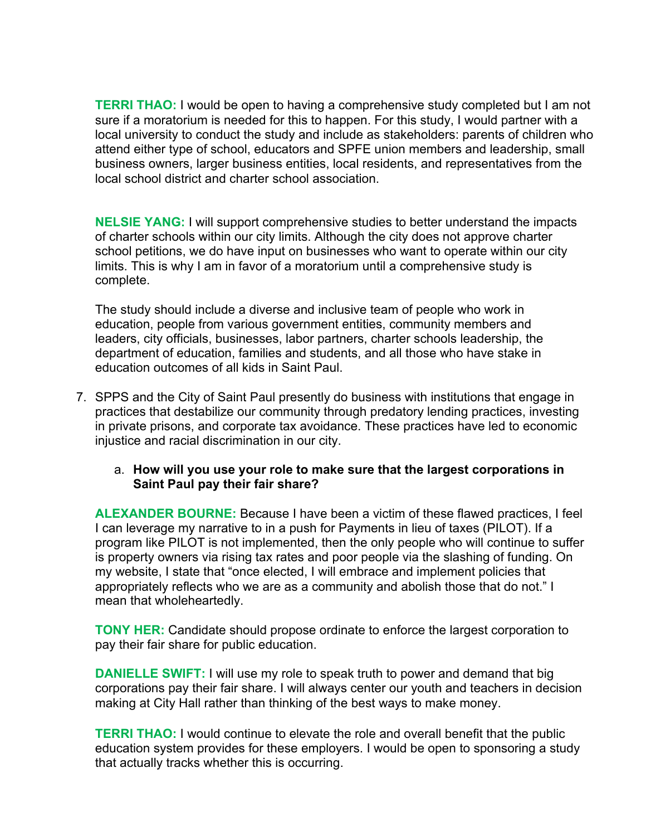**TERRI THAO:** I would be open to having a comprehensive study completed but I am not sure if a moratorium is needed for this to happen. For this study, I would partner with a local university to conduct the study and include as stakeholders: parents of children who attend either type of school, educators and SPFE union members and leadership, small business owners, larger business entities, local residents, and representatives from the local school district and charter school association.

**NELSIE YANG:** I will support comprehensive studies to better understand the impacts of charter schools within our city limits. Although the city does not approve charter school petitions, we do have input on businesses who want to operate within our city limits. This is why I am in favor of a moratorium until a comprehensive study is complete.

The study should include a diverse and inclusive team of people who work in education, people from various government entities, community members and leaders, city officials, businesses, labor partners, charter schools leadership, the department of education, families and students, and all those who have stake in education outcomes of all kids in Saint Paul.

- 7. SPPS and the City of Saint Paul presently do business with institutions that engage in practices that destabilize our community through predatory lending practices, investing in private prisons, and corporate tax avoidance. These practices have led to economic injustice and racial discrimination in our city.
	- a. **How will you use your role to make sure that the largest corporations in Saint Paul pay their fair share?**

**ALEXANDER BOURNE:** Because I have been a victim of these flawed practices, I feel I can leverage my narrative to in a push for Payments in lieu of taxes (PILOT). If a program like PILOT is not implemented, then the only people who will continue to suffer is property owners via rising tax rates and poor people via the slashing of funding. On my website, I state that "once elected, I will embrace and implement policies that appropriately reflects who we are as a community and abolish those that do not." I mean that wholeheartedly.

**TONY HER:** Candidate should propose ordinate to enforce the largest corporation to pay their fair share for public education.

**DANIELLE SWIFT:** I will use my role to speak truth to power and demand that big corporations pay their fair share. I will always center our youth and teachers in decision making at City Hall rather than thinking of the best ways to make money.

**TERRI THAO:** I would continue to elevate the role and overall benefit that the public education system provides for these employers. I would be open to sponsoring a study that actually tracks whether this is occurring.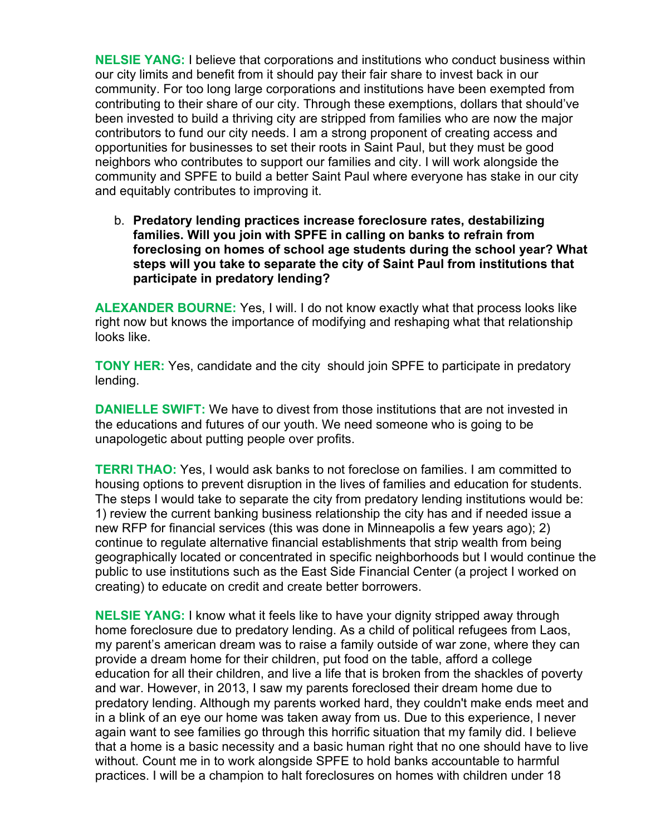**NELSIE YANG:** I believe that corporations and institutions who conduct business within our city limits and benefit from it should pay their fair share to invest back in our community. For too long large corporations and institutions have been exempted from contributing to their share of our city. Through these exemptions, dollars that should've been invested to build a thriving city are stripped from families who are now the major contributors to fund our city needs. I am a strong proponent of creating access and opportunities for businesses to set their roots in Saint Paul, but they must be good neighbors who contributes to support our families and city. I will work alongside the community and SPFE to build a better Saint Paul where everyone has stake in our city and equitably contributes to improving it.

b. **Predatory lending practices increase foreclosure rates, destabilizing families. Will you join with SPFE in calling on banks to refrain from foreclosing on homes of school age students during the school year? What steps will you take to separate the city of Saint Paul from institutions that participate in predatory lending?**

**ALEXANDER BOURNE:** Yes, I will. I do not know exactly what that process looks like right now but knows the importance of modifying and reshaping what that relationship looks like.

**TONY HER:** Yes, candidate and the city should join SPFE to participate in predatory lending.

**DANIELLE SWIFT:** We have to divest from those institutions that are not invested in the educations and futures of our youth. We need someone who is going to be unapologetic about putting people over profits.

**TERRI THAO:** Yes, I would ask banks to not foreclose on families. I am committed to housing options to prevent disruption in the lives of families and education for students. The steps I would take to separate the city from predatory lending institutions would be: 1) review the current banking business relationship the city has and if needed issue a new RFP for financial services (this was done in Minneapolis a few years ago); 2) continue to regulate alternative financial establishments that strip wealth from being geographically located or concentrated in specific neighborhoods but I would continue the public to use institutions such as the East Side Financial Center (a project I worked on creating) to educate on credit and create better borrowers.

**NELSIE YANG:** I know what it feels like to have your dignity stripped away through home foreclosure due to predatory lending. As a child of political refugees from Laos, my parent's american dream was to raise a family outside of war zone, where they can provide a dream home for their children, put food on the table, afford a college education for all their children, and live a life that is broken from the shackles of poverty and war. However, in 2013, I saw my parents foreclosed their dream home due to predatory lending. Although my parents worked hard, they couldn't make ends meet and in a blink of an eye our home was taken away from us. Due to this experience, I never again want to see families go through this horrific situation that my family did. I believe that a home is a basic necessity and a basic human right that no one should have to live without. Count me in to work alongside SPFE to hold banks accountable to harmful practices. I will be a champion to halt foreclosures on homes with children under 18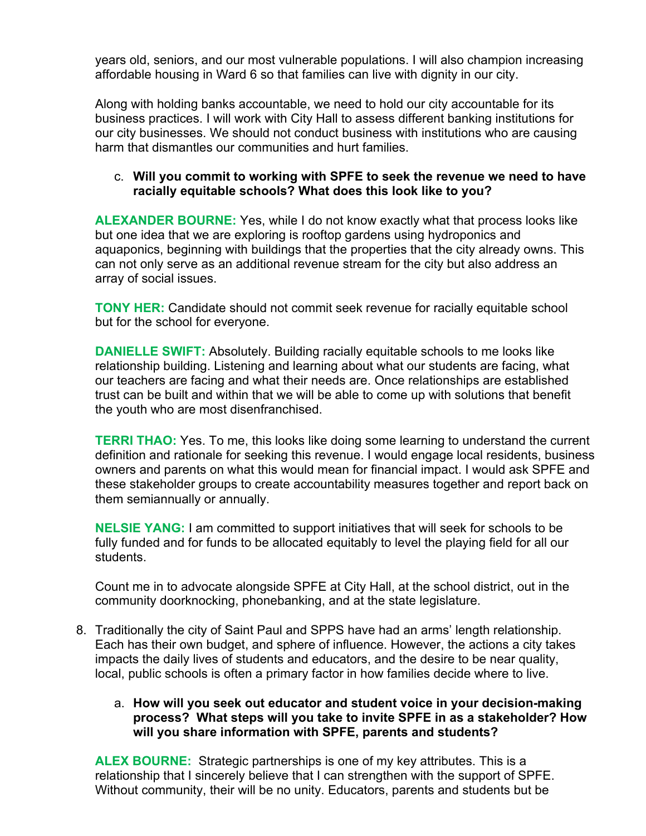years old, seniors, and our most vulnerable populations. I will also champion increasing affordable housing in Ward 6 so that families can live with dignity in our city.

Along with holding banks accountable, we need to hold our city accountable for its business practices. I will work with City Hall to assess different banking institutions for our city businesses. We should not conduct business with institutions who are causing harm that dismantles our communities and hurt families.

# c. **Will you commit to working with SPFE to seek the revenue we need to have racially equitable schools? What does this look like to you?**

**ALEXANDER BOURNE:** Yes, while I do not know exactly what that process looks like but one idea that we are exploring is rooftop gardens using hydroponics and aquaponics, beginning with buildings that the properties that the city already owns. This can not only serve as an additional revenue stream for the city but also address an array of social issues.

**TONY HER:** Candidate should not commit seek revenue for racially equitable school but for the school for everyone.

**DANIELLE SWIFT:** Absolutely. Building racially equitable schools to me looks like relationship building. Listening and learning about what our students are facing, what our teachers are facing and what their needs are. Once relationships are established trust can be built and within that we will be able to come up with solutions that benefit the youth who are most disenfranchised.

**TERRI THAO:** Yes. To me, this looks like doing some learning to understand the current definition and rationale for seeking this revenue. I would engage local residents, business owners and parents on what this would mean for financial impact. I would ask SPFE and these stakeholder groups to create accountability measures together and report back on them semiannually or annually.

**NELSIE YANG:** I am committed to support initiatives that will seek for schools to be fully funded and for funds to be allocated equitably to level the playing field for all our students.

Count me in to advocate alongside SPFE at City Hall, at the school district, out in the community doorknocking, phonebanking, and at the state legislature.

8. Traditionally the city of Saint Paul and SPPS have had an arms' length relationship. Each has their own budget, and sphere of influence. However, the actions a city takes impacts the daily lives of students and educators, and the desire to be near quality, local, public schools is often a primary factor in how families decide where to live.

# a. **How will you seek out educator and student voice in your decision-making process? What steps will you take to invite SPFE in as a stakeholder? How will you share information with SPFE, parents and students?**

**ALEX BOURNE:** Strategic partnerships is one of my key attributes. This is a relationship that I sincerely believe that I can strengthen with the support of SPFE. Without community, their will be no unity. Educators, parents and students but be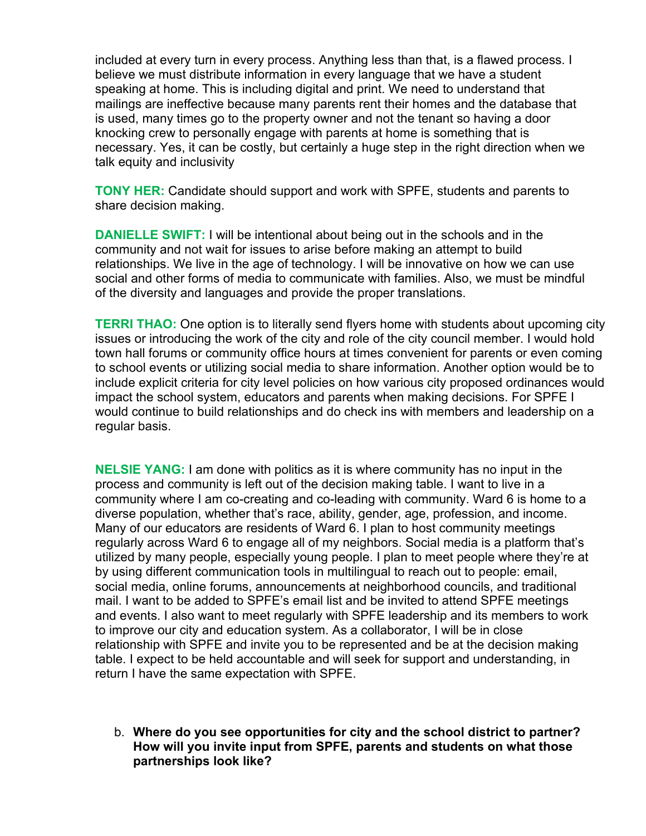included at every turn in every process. Anything less than that, is a flawed process. I believe we must distribute information in every language that we have a student speaking at home. This is including digital and print. We need to understand that mailings are ineffective because many parents rent their homes and the database that is used, many times go to the property owner and not the tenant so having a door knocking crew to personally engage with parents at home is something that is necessary. Yes, it can be costly, but certainly a huge step in the right direction when we talk equity and inclusivity

**TONY HER:** Candidate should support and work with SPFE, students and parents to share decision making.

**DANIELLE SWIFT:** I will be intentional about being out in the schools and in the community and not wait for issues to arise before making an attempt to build relationships. We live in the age of technology. I will be innovative on how we can use social and other forms of media to communicate with families. Also, we must be mindful of the diversity and languages and provide the proper translations.

**TERRI THAO:** One option is to literally send flyers home with students about upcoming city issues or introducing the work of the city and role of the city council member. I would hold town hall forums or community office hours at times convenient for parents or even coming to school events or utilizing social media to share information. Another option would be to include explicit criteria for city level policies on how various city proposed ordinances would impact the school system, educators and parents when making decisions. For SPFE I would continue to build relationships and do check ins with members and leadership on a regular basis.

**NELSIE YANG:** I am done with politics as it is where community has no input in the process and community is left out of the decision making table. I want to live in a community where I am co-creating and co-leading with community. Ward 6 is home to a diverse population, whether that's race, ability, gender, age, profession, and income. Many of our educators are residents of Ward 6. I plan to host community meetings regularly across Ward 6 to engage all of my neighbors. Social media is a platform that's utilized by many people, especially young people. I plan to meet people where they're at by using different communication tools in multilingual to reach out to people: email, social media, online forums, announcements at neighborhood councils, and traditional mail. I want to be added to SPFE's email list and be invited to attend SPFE meetings and events. I also want to meet regularly with SPFE leadership and its members to work to improve our city and education system. As a collaborator, I will be in close relationship with SPFE and invite you to be represented and be at the decision making table. I expect to be held accountable and will seek for support and understanding, in return I have the same expectation with SPFE.

b. **Where do you see opportunities for city and the school district to partner? How will you invite input from SPFE, parents and students on what those partnerships look like?**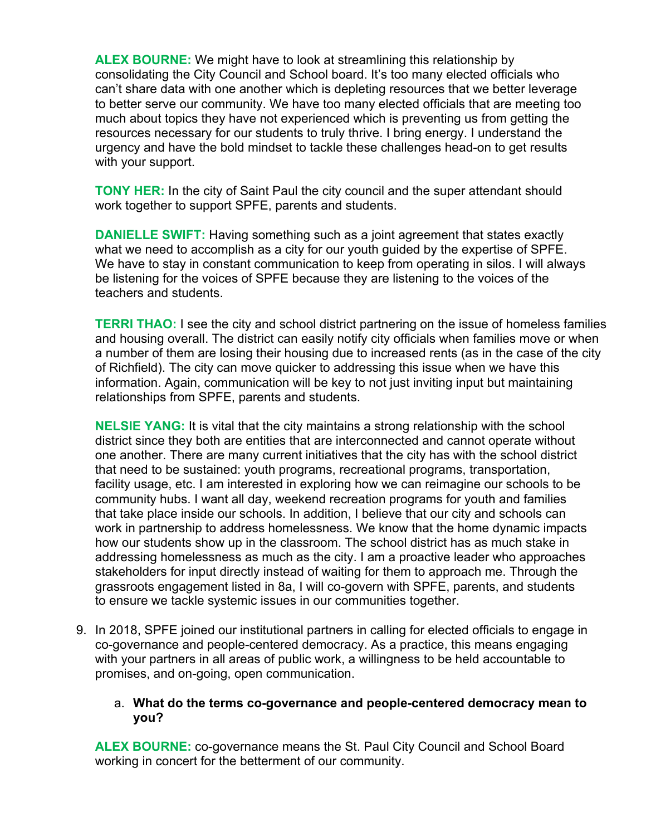**ALEX BOURNE:** We might have to look at streamlining this relationship by consolidating the City Council and School board. It's too many elected officials who can't share data with one another which is depleting resources that we better leverage to better serve our community. We have too many elected officials that are meeting too much about topics they have not experienced which is preventing us from getting the resources necessary for our students to truly thrive. I bring energy. I understand the urgency and have the bold mindset to tackle these challenges head-on to get results with your support.

**TONY HER:** In the city of Saint Paul the city council and the super attendant should work together to support SPFE, parents and students.

**DANIELLE SWIFT:** Having something such as a joint agreement that states exactly what we need to accomplish as a city for our youth guided by the expertise of SPFE. We have to stay in constant communication to keep from operating in silos. I will always be listening for the voices of SPFE because they are listening to the voices of the teachers and students.

**TERRI THAO:** I see the city and school district partnering on the issue of homeless families and housing overall. The district can easily notify city officials when families move or when a number of them are losing their housing due to increased rents (as in the case of the city of Richfield). The city can move quicker to addressing this issue when we have this information. Again, communication will be key to not just inviting input but maintaining relationships from SPFE, parents and students.

**NELSIE YANG:** It is vital that the city maintains a strong relationship with the school district since they both are entities that are interconnected and cannot operate without one another. There are many current initiatives that the city has with the school district that need to be sustained: youth programs, recreational programs, transportation, facility usage, etc. I am interested in exploring how we can reimagine our schools to be community hubs. I want all day, weekend recreation programs for youth and families that take place inside our schools. In addition, I believe that our city and schools can work in partnership to address homelessness. We know that the home dynamic impacts how our students show up in the classroom. The school district has as much stake in addressing homelessness as much as the city. I am a proactive leader who approaches stakeholders for input directly instead of waiting for them to approach me. Through the grassroots engagement listed in 8a, I will co-govern with SPFE, parents, and students to ensure we tackle systemic issues in our communities together.

9. In 2018, SPFE joined our institutional partners in calling for elected officials to engage in co-governance and people-centered democracy. As a practice, this means engaging with your partners in all areas of public work, a willingness to be held accountable to promises, and on-going, open communication.

### a. **What do the terms co-governance and people-centered democracy mean to you?**

**ALEX BOURNE:** co-governance means the St. Paul City Council and School Board working in concert for the betterment of our community.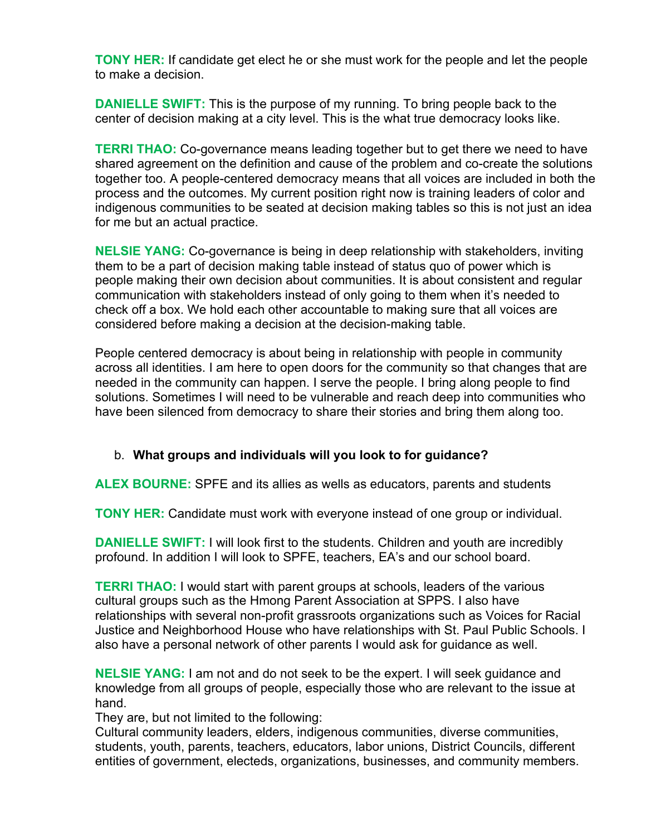**TONY HER:** If candidate get elect he or she must work for the people and let the people to make a decision.

**DANIELLE SWIFT:** This is the purpose of my running. To bring people back to the center of decision making at a city level. This is the what true democracy looks like.

**TERRI THAO:** Co-governance means leading together but to get there we need to have shared agreement on the definition and cause of the problem and co-create the solutions together too. A people-centered democracy means that all voices are included in both the process and the outcomes. My current position right now is training leaders of color and indigenous communities to be seated at decision making tables so this is not just an idea for me but an actual practice.

**NELSIE YANG:** Co-governance is being in deep relationship with stakeholders, inviting them to be a part of decision making table instead of status quo of power which is people making their own decision about communities. It is about consistent and regular communication with stakeholders instead of only going to them when it's needed to check off a box. We hold each other accountable to making sure that all voices are considered before making a decision at the decision-making table.

People centered democracy is about being in relationship with people in community across all identities. I am here to open doors for the community so that changes that are needed in the community can happen. I serve the people. I bring along people to find solutions. Sometimes I will need to be vulnerable and reach deep into communities who have been silenced from democracy to share their stories and bring them along too.

# b. **What groups and individuals will you look to for guidance?**

**ALEX BOURNE:** SPFE and its allies as wells as educators, parents and students

**TONY HER:** Candidate must work with everyone instead of one group or individual.

**DANIELLE SWIFT:** I will look first to the students. Children and youth are incredibly profound. In addition I will look to SPFE, teachers, EA's and our school board.

**TERRI THAO:** I would start with parent groups at schools, leaders of the various cultural groups such as the Hmong Parent Association at SPPS. I also have relationships with several non-profit grassroots organizations such as Voices for Racial Justice and Neighborhood House who have relationships with St. Paul Public Schools. I also have a personal network of other parents I would ask for guidance as well.

**NELSIE YANG:** I am not and do not seek to be the expert. I will seek guidance and knowledge from all groups of people, especially those who are relevant to the issue at hand.

They are, but not limited to the following:

Cultural community leaders, elders, indigenous communities, diverse communities, students, youth, parents, teachers, educators, labor unions, District Councils, different entities of government, electeds, organizations, businesses, and community members.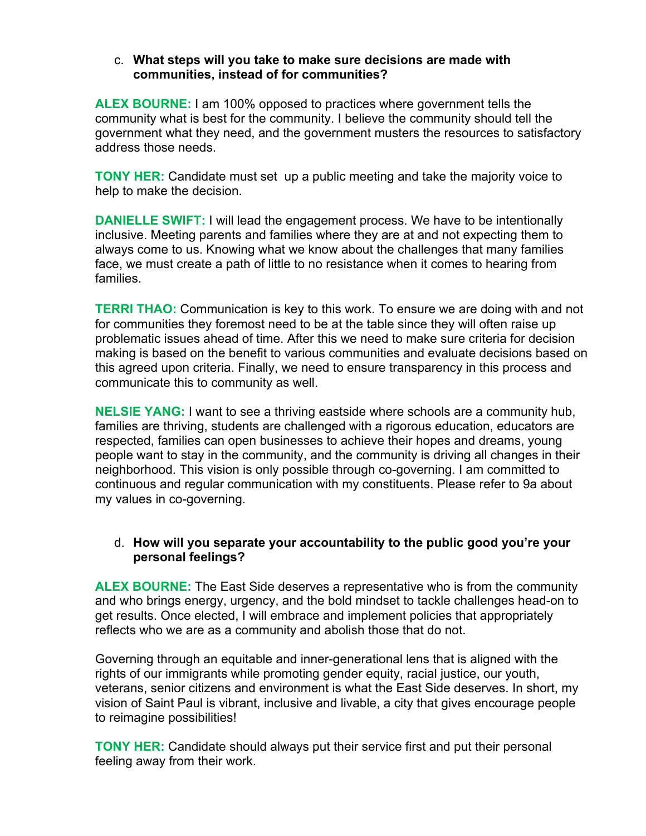### c. **What steps will you take to make sure decisions are made with communities, instead of for communities?**

**ALEX BOURNE:** I am 100% opposed to practices where government tells the community what is best for the community. I believe the community should tell the government what they need, and the government musters the resources to satisfactory address those needs.

**TONY HER:** Candidate must set up a public meeting and take the majority voice to help to make the decision.

**DANIELLE SWIFT:** I will lead the engagement process. We have to be intentionally inclusive. Meeting parents and families where they are at and not expecting them to always come to us. Knowing what we know about the challenges that many families face, we must create a path of little to no resistance when it comes to hearing from families.

**TERRI THAO:** Communication is key to this work. To ensure we are doing with and not for communities they foremost need to be at the table since they will often raise up problematic issues ahead of time. After this we need to make sure criteria for decision making is based on the benefit to various communities and evaluate decisions based on this agreed upon criteria. Finally, we need to ensure transparency in this process and communicate this to community as well.

**NELSIE YANG:** I want to see a thriving eastside where schools are a community hub, families are thriving, students are challenged with a rigorous education, educators are respected, families can open businesses to achieve their hopes and dreams, young people want to stay in the community, and the community is driving all changes in their neighborhood. This vision is only possible through co-governing. I am committed to continuous and regular communication with my constituents. Please refer to 9a about my values in co-governing.

### d. **How will you separate your accountability to the public good you're your personal feelings?**

**ALEX BOURNE:** The East Side deserves a representative who is from the community and who brings energy, urgency, and the bold mindset to tackle challenges head-on to get results. Once elected, I will embrace and implement policies that appropriately reflects who we are as a community and abolish those that do not.

Governing through an equitable and inner-generational lens that is aligned with the rights of our immigrants while promoting gender equity, racial justice, our youth, veterans, senior citizens and environment is what the East Side deserves. In short, my vision of Saint Paul is vibrant, inclusive and livable, a city that gives encourage people to reimagine possibilities!

**TONY HER:** Candidate should always put their service first and put their personal feeling away from their work.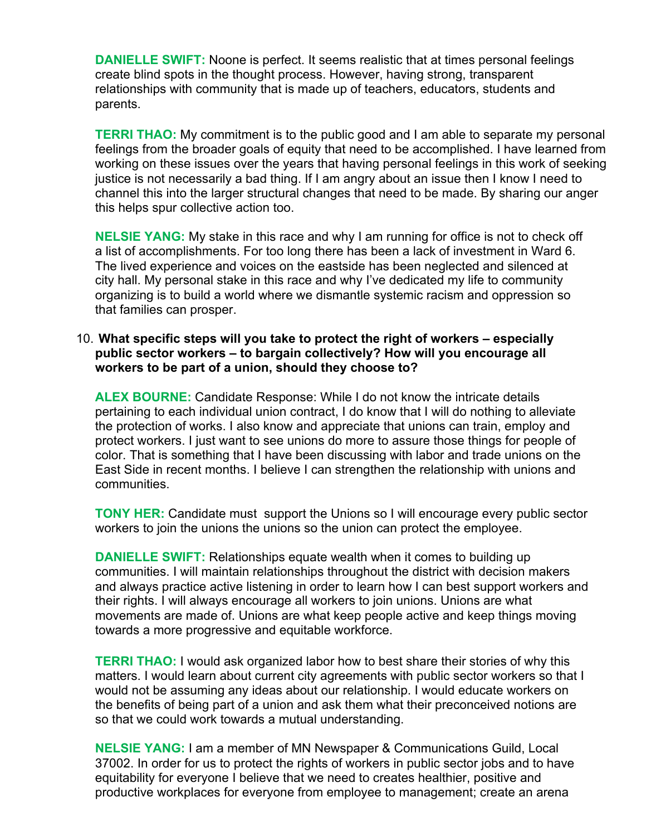**DANIELLE SWIFT:** Noone is perfect. It seems realistic that at times personal feelings create blind spots in the thought process. However, having strong, transparent relationships with community that is made up of teachers, educators, students and parents.

**TERRI THAO:** My commitment is to the public good and I am able to separate my personal feelings from the broader goals of equity that need to be accomplished. I have learned from working on these issues over the years that having personal feelings in this work of seeking justice is not necessarily a bad thing. If I am angry about an issue then I know I need to channel this into the larger structural changes that need to be made. By sharing our anger this helps spur collective action too.

**NELSIE YANG:** My stake in this race and why I am running for office is not to check off a list of accomplishments. For too long there has been a lack of investment in Ward 6. The lived experience and voices on the eastside has been neglected and silenced at city hall. My personal stake in this race and why I've dedicated my life to community organizing is to build a world where we dismantle systemic racism and oppression so that families can prosper.

### 10. **What specific steps will you take to protect the right of workers – especially public sector workers – to bargain collectively? How will you encourage all workers to be part of a union, should they choose to?**

**ALEX BOURNE:** Candidate Response: While I do not know the intricate details pertaining to each individual union contract, I do know that I will do nothing to alleviate the protection of works. I also know and appreciate that unions can train, employ and protect workers. I just want to see unions do more to assure those things for people of color. That is something that I have been discussing with labor and trade unions on the East Side in recent months. I believe I can strengthen the relationship with unions and communities.

**TONY HER:** Candidate must support the Unions so I will encourage every public sector workers to join the unions the unions so the union can protect the employee.

**DANIELLE SWIFT:** Relationships equate wealth when it comes to building up communities. I will maintain relationships throughout the district with decision makers and always practice active listening in order to learn how I can best support workers and their rights. I will always encourage all workers to join unions. Unions are what movements are made of. Unions are what keep people active and keep things moving towards a more progressive and equitable workforce.

**TERRI THAO:** I would ask organized labor how to best share their stories of why this matters. I would learn about current city agreements with public sector workers so that I would not be assuming any ideas about our relationship. I would educate workers on the benefits of being part of a union and ask them what their preconceived notions are so that we could work towards a mutual understanding.

**NELSIE YANG:** I am a member of MN Newspaper & Communications Guild, Local 37002. In order for us to protect the rights of workers in public sector jobs and to have equitability for everyone I believe that we need to creates healthier, positive and productive workplaces for everyone from employee to management; create an arena